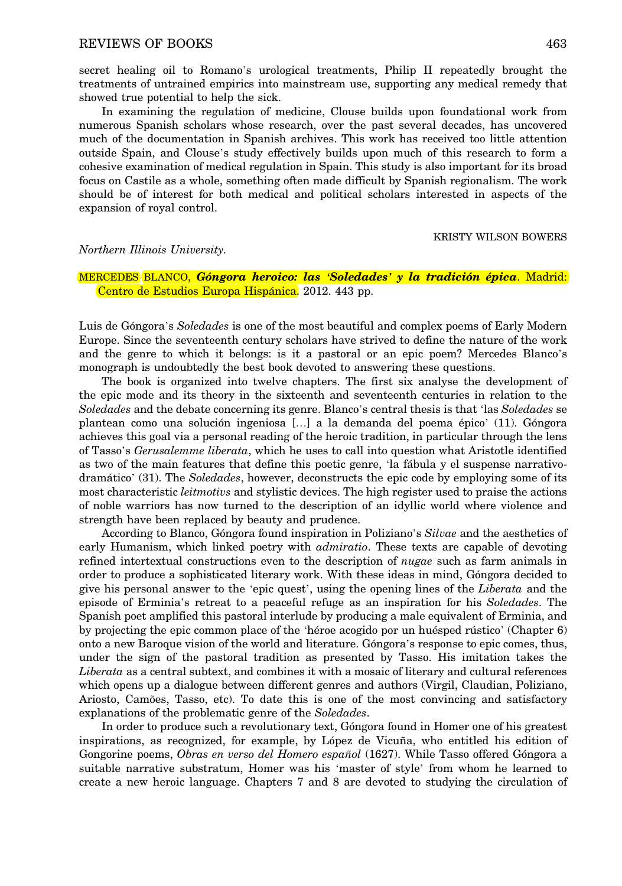secret healing oil to Romano's urological treatments, Philip II repeatedly brought the treatments of untrained empirics into mainstream use, supporting any medical remedy that showed true potential to help the sick.

In examining the regulation of medicine, Clouse builds upon foundational work from numerous Spanish scholars whose research, over the past several decades, has uncovered much of the documentation in Spanish archives. This work has received too little attention outside Spain, and Clouse's study effectively builds upon much of this research to form a cohesive examination of medical regulation in Spain. This study is also important for its broad focus on Castile as a whole, something often made difficult by Spanish regionalism. The work should be of interest for both medical and political scholars interested in aspects of the expansion of royal control.

KRISTY WILSON BOWERS

## Northern Illinois University.

## MERCEDES BLANCO, Góngora heroico: las 'Soledades' y la tradición épica. Madrid: Centro de Estudios Europa Hispánica. 2012. 443 pp.

Luis de Góngora's Soledades is one of the most beautiful and complex poems of Early Modern Europe. Since the seventeenth century scholars have strived to define the nature of the work and the genre to which it belongs: is it a pastoral or an epic poem? Mercedes Blanco's monograph is undoubtedly the best book devoted to answering these questions.

The book is organized into twelve chapters. The first six analyse the development of the epic mode and its theory in the sixteenth and seventeenth centuries in relation to the Soledades and the debate concerning its genre. Blanco's central thesis is that 'las Soledades se plantean como una solución ingeniosa […] a la demanda del poema épico' (11). Góngora achieves this goal via a personal reading of the heroic tradition, in particular through the lens of Tasso's Gerusalemme liberata, which he uses to call into question what Aristotle identified as two of the main features that define this poetic genre, 'la fábula y el suspense narrativodramático' (31). The Soledades, however, deconstructs the epic code by employing some of its most characteristic leitmotivs and stylistic devices. The high register used to praise the actions of noble warriors has now turned to the description of an idyllic world where violence and strength have been replaced by beauty and prudence.

According to Blanco, Góngora found inspiration in Poliziano's Silvae and the aesthetics of early Humanism, which linked poetry with *admiratio*. These texts are capable of devoting refined intertextual constructions even to the description of nugae such as farm animals in order to produce a sophisticated literary work. With these ideas in mind, Góngora decided to give his personal answer to the 'epic quest', using the opening lines of the Liberata and the episode of Erminia's retreat to a peaceful refuge as an inspiration for his Soledades. The Spanish poet amplified this pastoral interlude by producing a male equivalent of Erminia, and by projecting the epic common place of the 'héroe acogido por un huésped rústico' (Chapter 6) onto a new Baroque vision of the world and literature. Góngora's response to epic comes, thus, under the sign of the pastoral tradition as presented by Tasso. His imitation takes the Liberata as a central subtext, and combines it with a mosaic of literary and cultural references which opens up a dialogue between different genres and authors (Virgil, Claudian, Poliziano, Ariosto, Camões, Tasso, etc). To date this is one of the most convincing and satisfactory explanations of the problematic genre of the Soledades.

In order to produce such a revolutionary text, Góngora found in Homer one of his greatest inspirations, as recognized, for example, by López de Vicuña, who entitled his edition of Gongorine poems, Obras en verso del Homero español (1627). While Tasso offered Góngora a suitable narrative substratum, Homer was his 'master of style' from whom he learned to create a new heroic language. Chapters 7 and 8 are devoted to studying the circulation of